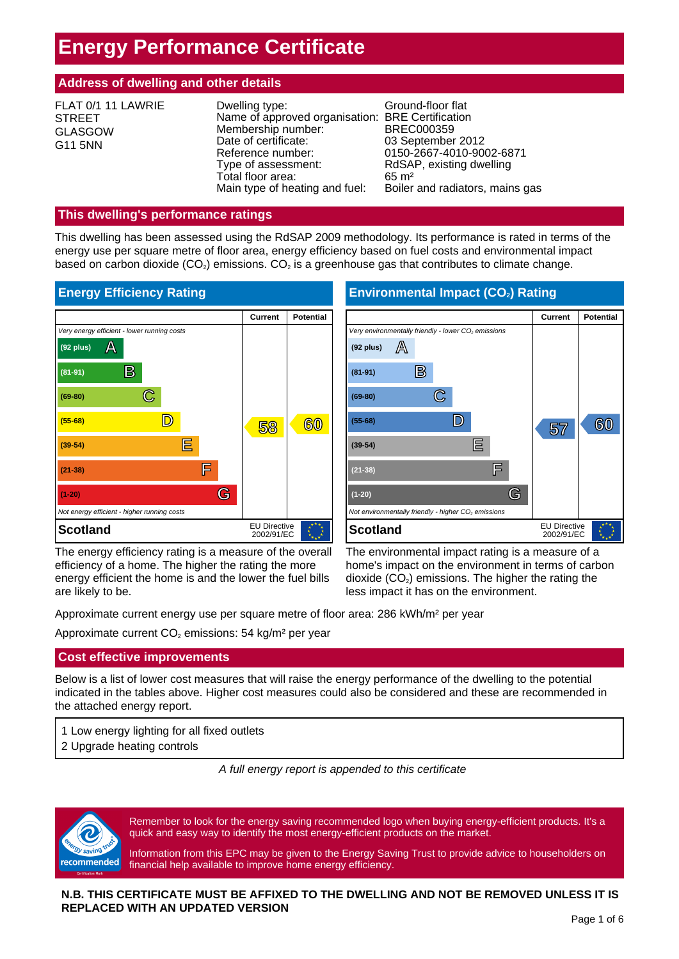## **Energy Performance Certificate**

## **Address of dwelling and other details**

| FLAT 0/1 11 LAWRIE<br><b>STREET</b><br><b>GLASGOW</b><br>G11 5NN | Dwelling type:<br>Name of approved organisation: BRE Certification<br>Membership number:<br>Date of certificate:<br>Reference number:<br>Type of assessment:<br>Total floor area:<br>Main type of heating and fuel: | Ground-floor flat<br><b>BREC000359</b><br>03 September 2012<br>0150-2667-4010-9002-6871<br>RdSAP, existing dwelling<br>$65 \text{ m}^2$<br>Boiler and radiators, mains gas |
|------------------------------------------------------------------|---------------------------------------------------------------------------------------------------------------------------------------------------------------------------------------------------------------------|----------------------------------------------------------------------------------------------------------------------------------------------------------------------------|
|------------------------------------------------------------------|---------------------------------------------------------------------------------------------------------------------------------------------------------------------------------------------------------------------|----------------------------------------------------------------------------------------------------------------------------------------------------------------------------|

## **This dwelling's performance ratings**

This dwelling has been assessed using the RdSAP 2009 methodology. Its performance is rated in terms of the energy use per square metre of floor area, energy efficiency based on fuel costs and environmental impact based on carbon dioxide  $(CO_2)$  emissions.  $CO_2$  is a greenhouse gas that contributes to climate change.



The energy efficiency rating is a measure of the overall efficiency of a home. The higher the rating the more energy efficient the home is and the lower the fuel bills are likely to be.

The environmental impact rating is a measure of a home's impact on the environment in terms of carbon dioxide  $(CO<sub>2</sub>)$  emissions. The higher the rating the less impact it has on the environment.

Approximate current energy use per square metre of floor area: 286 kWh/m² per year

Approximate current  $CO<sub>2</sub>$  emissions: 54 kg/m<sup>2</sup> per year

## **Cost effective improvements**

Below is a list of lower cost measures that will raise the energy performance of the dwelling to the potential indicated in the tables above. Higher cost measures could also be considered and these are recommended in the attached energy report.

- 1 Low energy lighting for all fixed outlets
- 2 Upgrade heating controls

*A full energy report is appended to this certificate*



Remember to look for the energy saving recommended logo when buying energy-efficient products. It's a quick and easy way to identify the most energy-efficient products on the market.

Information from this EPC may be given to the Energy Saving Trust to provide advice to householders on financial help available to improve home energy efficiency.

#### **N.B. THIS CERTIFICATE MUST BE AFFIXED TO THE DWELLING AND NOT BE REMOVED UNLESS IT IS REPLACED WITH AN UPDATED VERSION**

**Current Potential**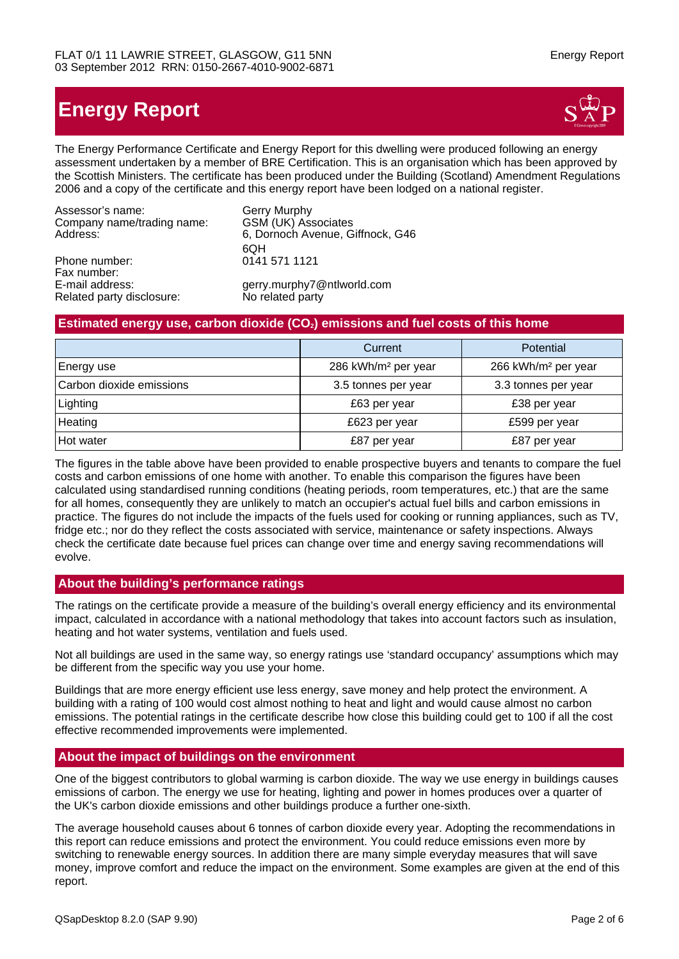# **Energy Report**



The Energy Performance Certificate and Energy Report for this dwelling were produced following an energy assessment undertaken by a member of BRE Certification. This is an organisation which has been approved by the Scottish Ministers. The certificate has been produced under the Building (Scotland) Amendment Regulations 2006 and a copy of the certificate and this energy report have been lodged on a national register.

| Assessor's name:           | <b>Gerry Murphy</b>              |
|----------------------------|----------------------------------|
| Company name/trading name: | GSM (UK) Associates              |
| Address:                   | 6, Dornoch Avenue, Giffnock, G46 |
|                            | 6OH                              |
| Phone number:              | 0141 571 1121                    |
| Fax number:                |                                  |
| E-mail address:            | gerry.murphy7@ntlworld.com       |
| Related party disclosure:  | No related party                 |

## **Estimated energy use, carbon dioxide (CO<sub>2</sub>) emissions and fuel costs of this home**

|                          | Current                         | Potential                       |
|--------------------------|---------------------------------|---------------------------------|
| Energy use               | 286 kWh/m <sup>2</sup> per year | 266 kWh/m <sup>2</sup> per year |
| Carbon dioxide emissions | 3.5 tonnes per year             | 3.3 tonnes per year             |
| Lighting                 | £63 per year                    | £38 per year                    |
| Heating                  | £623 per year                   | £599 per year                   |
| Hot water                | £87 per year                    | £87 per year                    |

The figures in the table above have been provided to enable prospective buyers and tenants to compare the fuel costs and carbon emissions of one home with another. To enable this comparison the figures have been calculated using standardised running conditions (heating periods, room temperatures, etc.) that are the same for all homes, consequently they are unlikely to match an occupier's actual fuel bills and carbon emissions in practice. The figures do not include the impacts of the fuels used for cooking or running appliances, such as TV, fridge etc.; nor do they reflect the costs associated with service, maintenance or safety inspections. Always check the certificate date because fuel prices can change over time and energy saving recommendations will evolve.

## **About the building's performance ratings**

The ratings on the certificate provide a measure of the building's overall energy efficiency and its environmental impact, calculated in accordance with a national methodology that takes into account factors such as insulation, heating and hot water systems, ventilation and fuels used.

Not all buildings are used in the same way, so energy ratings use 'standard occupancy' assumptions which may be different from the specific way you use your home.

Buildings that are more energy efficient use less energy, save money and help protect the environment. A building with a rating of 100 would cost almost nothing to heat and light and would cause almost no carbon emissions. The potential ratings in the certificate describe how close this building could get to 100 if all the cost effective recommended improvements were implemented.

## **About the impact of buildings on the environment**

One of the biggest contributors to global warming is carbon dioxide. The way we use energy in buildings causes emissions of carbon. The energy we use for heating, lighting and power in homes produces over a quarter of the UK's carbon dioxide emissions and other buildings produce a further one-sixth.

The average household causes about 6 tonnes of carbon dioxide every year. Adopting the recommendations in this report can reduce emissions and protect the environment. You could reduce emissions even more by switching to renewable energy sources. In addition there are many simple everyday measures that will save money, improve comfort and reduce the impact on the environment. Some examples are given at the end of this report.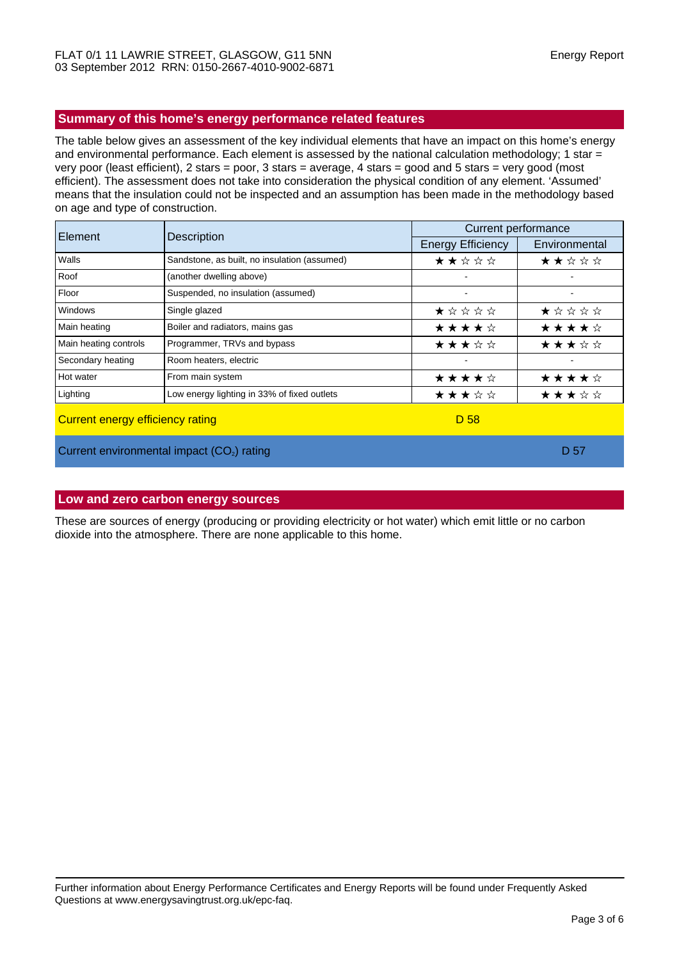## **Summary of this home's energy performance related features**

The table below gives an assessment of the key individual elements that have an impact on this home's energy and environmental performance. Each element is assessed by the national calculation methodology; 1 star = very poor (least efficient), 2 stars = poor, 3 stars = average, 4 stars = good and 5 stars = very good (most efficient). The assessment does not take into consideration the physical condition of any element. 'Assumed' means that the insulation could not be inspected and an assumption has been made in the methodology based on age and type of construction.

| Element                          | <b>Description</b>                           | Current performance      |               |  |
|----------------------------------|----------------------------------------------|--------------------------|---------------|--|
|                                  |                                              | <b>Energy Efficiency</b> | Environmental |  |
| Walls                            | Sandstone, as built, no insulation (assumed) | ★★☆☆☆                    | ★★☆☆☆         |  |
| Roof                             | (another dwelling above)                     |                          |               |  |
| Floor                            | Suspended, no insulation (assumed)           |                          |               |  |
| <b>Windows</b>                   | Single glazed                                | * * * * *                | * * * * *     |  |
| Main heating                     | Boiler and radiators, mains gas              | ★★★★☆                    | ★★★★☆         |  |
| Main heating controls            | Programmer, TRVs and bypass                  | ★★★☆☆                    | ★★★☆☆         |  |
| Secondary heating                | Room heaters, electric                       | $\blacksquare$           |               |  |
| Hot water                        | From main system                             | ★★★★☆                    | ★★★★☆         |  |
| Lighting                         | Low energy lighting in 33% of fixed outlets  | ★★★☆☆                    | ★★★☆☆         |  |
| Current energy efficiency rating |                                              | D 58                     |               |  |

Current environmental impact  $(CO_2)$  rating D 57

## **Low and zero carbon energy sources**

These are sources of energy (producing or providing electricity or hot water) which emit little or no carbon dioxide into the atmosphere. There are none applicable to this home.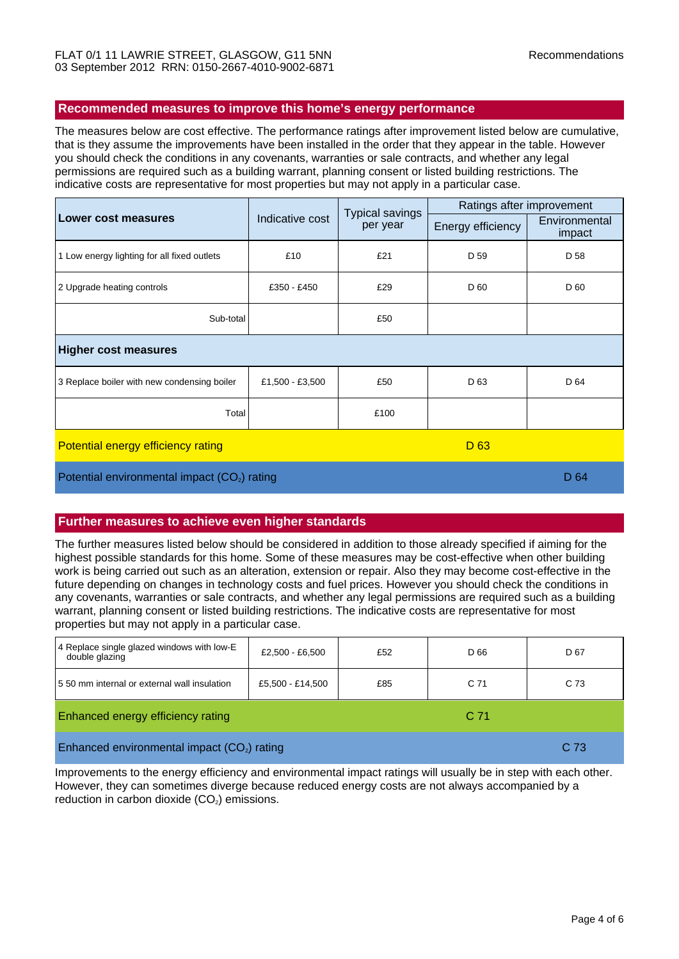#### **Recommended measures to improve this home's energy performance**

The measures below are cost effective. The performance ratings after improvement listed below are cumulative, that is they assume the improvements have been installed in the order that they appear in the table. However you should check the conditions in any covenants, warranties or sale contracts, and whether any legal permissions are required such as a building warrant, planning consent or listed building restrictions. The indicative costs are representative for most properties but may not apply in a particular case.

|                                                          | Indicative cost | <b>Typical savings</b><br>per year | Ratings after improvement |                         |
|----------------------------------------------------------|-----------------|------------------------------------|---------------------------|-------------------------|
| Lower cost measures                                      |                 |                                    | Energy efficiency         | Environmental<br>impact |
| 1 Low energy lighting for all fixed outlets              | £10             | £21                                | D 59                      | D 58                    |
| 2 Upgrade heating controls                               | £350 - £450     | £29                                | D 60                      | D 60                    |
| Sub-total                                                |                 | £50                                |                           |                         |
| <b>Higher cost measures</b>                              |                 |                                    |                           |                         |
| 3 Replace boiler with new condensing boiler              | £1,500 - £3,500 | £50                                | D <sub>63</sub>           | D 64                    |
| Total                                                    |                 | £100                               |                           |                         |
| Potential energy efficiency rating                       |                 | D <sub>63</sub>                    |                           |                         |
| Potential environmental impact (CO <sub>2</sub> ) rating |                 |                                    |                           | D 64                    |

## **Further measures to achieve even higher standards**

The further measures listed below should be considered in addition to those already specified if aiming for the highest possible standards for this home. Some of these measures may be cost-effective when other building work is being carried out such as an alteration, extension or repair. Also they may become cost-effective in the future depending on changes in technology costs and fuel prices. However you should check the conditions in any covenants, warranties or sale contracts, and whether any legal permissions are required such as a building warrant, planning consent or listed building restrictions. The indicative costs are representative for most properties but may not apply in a particular case.

| 4 Replace single glazed windows with low-E<br>double glazing | £2,500 - £6,500  | £52 | D 66            | D 67            |
|--------------------------------------------------------------|------------------|-----|-----------------|-----------------|
| 15 50 mm internal or external wall insulation                | £5,500 - £14,500 | £85 | C <sub>71</sub> | C <sub>73</sub> |
| Enhanced energy efficiency rating<br>C <sub>71</sub>         |                  |     |                 |                 |
| Enhanced environmental impact (CO <sub>2</sub> ) rating      |                  |     |                 | C <sub>73</sub> |

Improvements to the energy efficiency and environmental impact ratings will usually be in step with each other. However, they can sometimes diverge because reduced energy costs are not always accompanied by a reduction in carbon dioxide  $(CO<sub>2</sub>)$  emissions.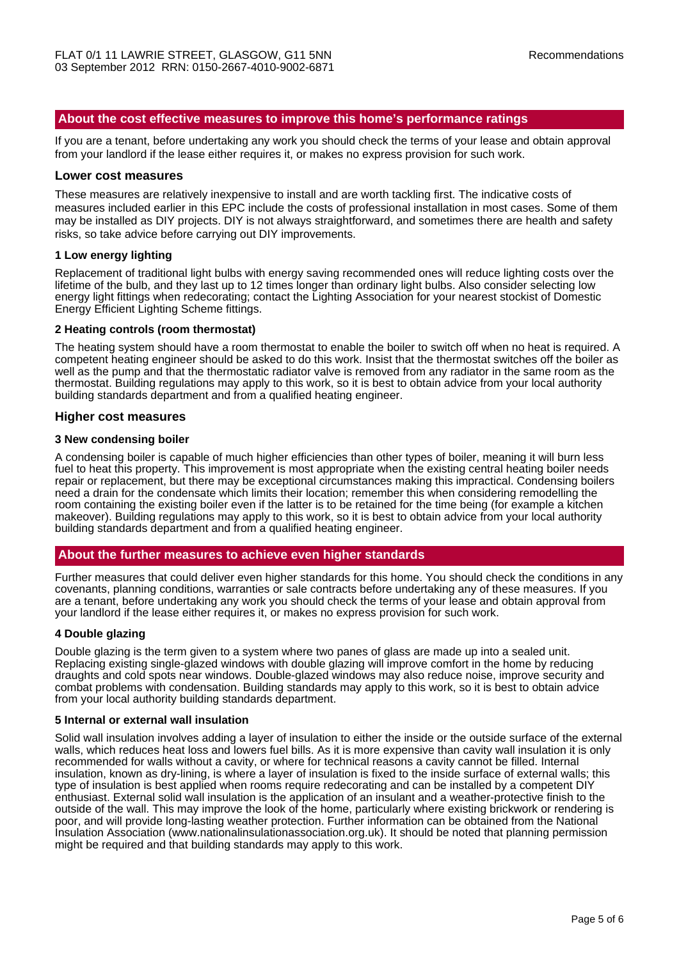#### **About the cost effective measures to improve this home's performance ratings**

If you are a tenant, before undertaking any work you should check the terms of your lease and obtain approval from your landlord if the lease either requires it, or makes no express provision for such work.

#### **Lower cost measures**

These measures are relatively inexpensive to install and are worth tackling first. The indicative costs of measures included earlier in this EPC include the costs of professional installation in most cases. Some of them may be installed as DIY projects. DIY is not always straightforward, and sometimes there are health and safety risks, so take advice before carrying out DIY improvements.

#### **1 Low energy lighting**

Replacement of traditional light bulbs with energy saving recommended ones will reduce lighting costs over the lifetime of the bulb, and they last up to 12 times longer than ordinary light bulbs. Also consider selecting low energy light fittings when redecorating; contact the Lighting Association for your nearest stockist of Domestic Energy Efficient Lighting Scheme fittings.

#### **2 Heating controls (room thermostat)**

The heating system should have a room thermostat to enable the boiler to switch off when no heat is required. A competent heating engineer should be asked to do this work. Insist that the thermostat switches off the boiler as well as the pump and that the thermostatic radiator valve is removed from any radiator in the same room as the thermostat. Building regulations may apply to this work, so it is best to obtain advice from your local authority building standards department and from a qualified heating engineer.

#### **Higher cost measures**

#### **3 New condensing boiler**

A condensing boiler is capable of much higher efficiencies than other types of boiler, meaning it will burn less fuel to heat this property. This improvement is most appropriate when the existing central heating boiler needs repair or replacement, but there may be exceptional circumstances making this impractical. Condensing boilers need a drain for the condensate which limits their location; remember this when considering remodelling the room containing the existing boiler even if the latter is to be retained for the time being (for example a kitchen makeover). Building regulations may apply to this work, so it is best to obtain advice from your local authority building standards department and from a qualified heating engineer.

#### **About the further measures to achieve even higher standards**

Further measures that could deliver even higher standards for this home. You should check the conditions in any covenants, planning conditions, warranties or sale contracts before undertaking any of these measures. If you are a tenant, before undertaking any work you should check the terms of your lease and obtain approval from your landlord if the lease either requires it, or makes no express provision for such work.

#### **4 Double glazing**

Double glazing is the term given to a system where two panes of glass are made up into a sealed unit. Replacing existing single-glazed windows with double glazing will improve comfort in the home by reducing draughts and cold spots near windows. Double-glazed windows may also reduce noise, improve security and combat problems with condensation. Building standards may apply to this work, so it is best to obtain advice from your local authority building standards department.

#### **5 Internal or external wall insulation**

Solid wall insulation involves adding a layer of insulation to either the inside or the outside surface of the external walls, which reduces heat loss and lowers fuel bills. As it is more expensive than cavity wall insulation it is only recommended for walls without a cavity, or where for technical reasons a cavity cannot be filled. Internal insulation, known as dry-lining, is where a layer of insulation is fixed to the inside surface of external walls; this type of insulation is best applied when rooms require redecorating and can be installed by a competent DIY enthusiast. External solid wall insulation is the application of an insulant and a weather-protective finish to the outside of the wall. This may improve the look of the home, particularly where existing brickwork or rendering is poor, and will provide long-lasting weather protection. Further information can be obtained from the National Insulation Association (www.nationalinsulationassociation.org.uk). It should be noted that planning permission might be required and that building standards may apply to this work.